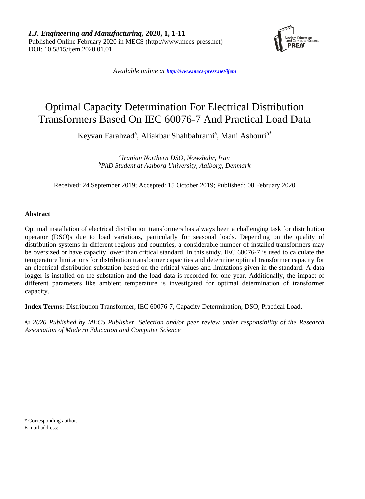*I.J. Engineering and Manufacturing,* **2020, 1, 1-11** Published Online February 2020 in MECS (http://www.mecs-press.net) DOI: 10.5815/ijem.2020.01.01



*Available online at <http://www.mecs-press.net/ijem>*

# Optimal Capacity Determination For Electrical Distribution Transformers Based On IEC 60076-7 And Practical Load Data

Keyvan Farahzad<sup>a</sup>, Aliakbar Shahbahrami<sup>a</sup>, Mani Ashouri<sup>b\*</sup>

*a Iranian Northern DSO, Nowshahr, Iran b PhD Student at Aalborg University, Aalborg, Denmark*

Received: 24 September 2019; Accepted: 15 October 2019; Published: 08 February 2020

## **Abstract**

Optimal installation of electrical distribution transformers has always been a challenging task for distribution operator (DSO)s due to load variations, particularly for seasonal loads. Depending on the quality of distribution systems in different regions and countries, a considerable number of installed transformers may be oversized or have capacity lower than critical standard. In this study, IEC 60076-7 is used to calculate the temperature limitations for distribution transformer capacities and determine optimal transformer capacity for an electrical distribution substation based on the critical values and limitations given in the standard. A data logger is installed on the substation and the load data is recorded for one year. Additionally, the impact of different parameters like ambient temperature is investigated for optimal determination of transformer capacity.

**Index Terms:** Distribution Transformer, IEC 60076-7, Capacity Determination, DSO, Practical Load.

*© 2020 Published by MECS Publisher. Selection and/or peer review under responsibility of the Research Association of Mode rn Education and Computer Science*

\* Corresponding author. E-mail address: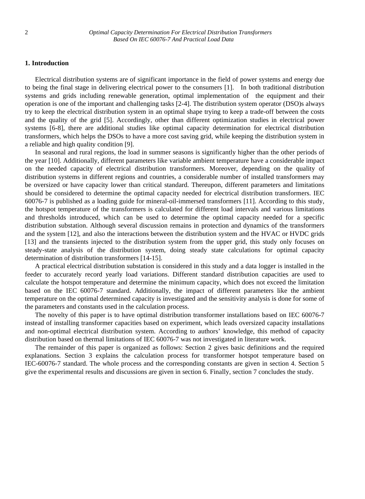## **1. Introduction**

Electrical distribution systems are of significant importance in the field of power systems and energy due to being the final stage in delivering electrical power to the consumers [1]. In both traditional distribution systems and grids including renewable generation, optimal implementation of the equipment and their operation is one of the important and challenging tasks [2-4]. The distribution system operator (DSO)s always try to keep the electrical distribution system in an optimal shape trying to keep a trade-off between the costs and the quality of the grid [5]. Accordingly, other than different optimization studies in electrical power systems [6-8], there are additional studies like optimal capacity determination for electrical distribution transformers, which helps the DSOs to have a more cost saving grid, while keeping the distribution system in a reliable and high quality condition [9].

In seasonal and rural regions, the load in summer seasons is significantly higher than the other periods of the year [10]. Additionally, different parameters like variable ambient temperature have a considerable impact on the needed capacity of electrical distribution transformers. Moreover, depending on the quality of distribution systems in different regions and countries, a considerable number of installed transformers may be oversized or have capacity lower than critical standard. Thereupon, different parameters and limitations should be considered to determine the optimal capacity needed for electrical distribution transformers. IEC 60076-7 is published as a loading guide for mineral-oil-immersed transformers [11]. According to this study, the hotspot temperature of the transformers is calculated for different load intervals and various limitations and thresholds introduced, which can be used to determine the optimal capacity needed for a specific distribution substation. Although several discussion remains in protection and dynamics of the transformers and the system [12], and also the interactions between the distribution system and the HVAC or HVDC grids [13] and the transients injected to the distribution system from the upper grid, this study only focuses on steady-state analysis of the distribution system, doing steady state calculations for optimal capacity determination of distribution transformers [14-15].

A practical electrical distribution substation is considered in this study and a data logger is installed in the feeder to accurately record yearly load variations. Different standard distribution capacities are used to calculate the hotspot temperature and determine the minimum capacity, which does not exceed the limitation based on the IEC 60076-7 standard. Additionally, the impact of different parameters like the ambient temperature on the optimal determined capacity is investigated and the sensitivity analysis is done for some of the parameters and constants used in the calculation process.

The novelty of this paper is to have optimal distribution transformer installations based on IEC 60076-7 instead of installing transformer capacities based on experiment, which leads oversized capacity installations and non-optimal electrical distribution system. According to authors' knowledge, this method of capacity distribution based on thermal limitations of IEC 60076-7 was not investigated in literature work.

The remainder of this paper is organized as follows: Section 2 gives basic definitions and the required explanations. Section 3 explains the calculation process for transformer hotspot temperature based on IEC-60076-7 standard. The whole process and the corresponding constants are given in section 4. Section 5 give the experimental results and discussions are given in section 6. Finally, section 7 concludes the study.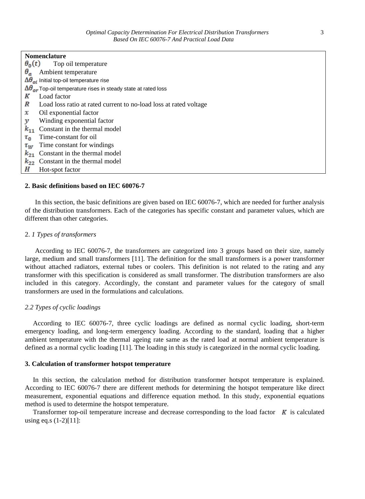| <b>Nomenclature</b>                                                               |  |  |  |
|-----------------------------------------------------------------------------------|--|--|--|
| $\theta_0(t)$<br>Top oil temperature                                              |  |  |  |
| $\theta_a$<br>Ambient temperature                                                 |  |  |  |
| $\Delta\theta_{oi}$ Initial top-oil temperature rise                              |  |  |  |
| $\Delta\theta_{\alpha r}$ Top-oil temperature rises in steady state at rated loss |  |  |  |
| K<br>Load factor                                                                  |  |  |  |
| Load loss ratio at rated current to no-load loss at rated voltage                 |  |  |  |
| Oil exponential factor<br>x                                                       |  |  |  |
| Winding exponential factor<br>v                                                   |  |  |  |
| $k_{11}$<br>Constant in the thermal model                                         |  |  |  |
| Time-constant for oil<br>$\tau_{\mathsf{n}}$                                      |  |  |  |
| Time constant for windings<br>$\tau_{w}$                                          |  |  |  |
| Constant in the thermal model<br>$k_{21}$                                         |  |  |  |
| Constant in the thermal model<br>$k_{22}$                                         |  |  |  |
| Н<br>Hot-spot factor                                                              |  |  |  |

#### **2. Basic definitions based on IEC 60076-7**

In this section, the basic definitions are given based on IEC 60076-7, which are needed for further analysis of the distribution transformers. Each of the categories has specific constant and parameter values, which are different than other categories.

#### 2. *1 Types of transformers*

According to IEC 60076-7, the transformers are categorized into 3 groups based on their size, namely large, medium and small transformers [11]. The definition for the small transformers is a power transformer without attached radiators, external tubes or coolers. This definition is not related to the rating and any transformer with this specification is considered as small transformer. The distribution transformers are also included in this category. Accordingly, the constant and parameter values for the category of small transformers are used in the formulations and calculations.

## *2.2 Types of cyclic loadings*

According to IEC 60076-7, three cyclic loadings are defined as normal cyclic loading, short-term emergency loading, and long-term emergency loading. According to the standard, loading that a higher ambient temperature with the thermal ageing rate same as the rated load at normal ambient temperature is defined as a normal cyclic loading [11]. The loading in this study is categorized in the normal cyclic loading.

### **3. Calculation of transformer hotspot temperature**

In this section, the calculation method for distribution transformer hotspot temperature is explained. According to IEC 60076-7 there are different methods for determining the hotspot temperature like direct measurement, exponential equations and difference equation method. In this study, exponential equations method is used to determine the hotspot temperature.

Transformer top-oil temperature increase and decrease corresponding to the load factor  $\boldsymbol{K}$  is calculated using eq.s  $(1-2)[11]$ :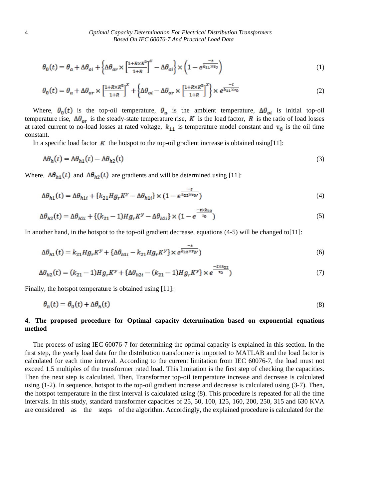$$
\theta_0(t) = \theta_a + \Delta\theta_{oi} + \left\{\Delta\theta_{or} \times \left[\frac{1 + R \times R^2}{1 + R}\right]^x - \Delta\theta_{oi}\right\} \times \left(1 - e^{\frac{-t}{k_{11} \times \tau_0}}\right) \tag{1}
$$

$$
\theta_0(t) = \theta_a + \Delta\theta_{or} \times \left[\frac{1 + R \times K^2}{1 + R}\right]^x + \left\{\Delta\theta_{oi} - \Delta\theta_{or} \times \left[\frac{1 + R \times K^2}{1 + R}\right]^x\right\} \times e^{\frac{-t}{k_{11} \times \tau_0}}
$$
(2)

Where,  $\theta_0(t)$  is the top-oil temperature,  $\theta_a$  is the ambient temperature,  $\Delta\theta_{oi}$  is initial top-oil temperature rise,  $\Delta\theta_{or}$  is the steady-state temperature rise, K is the load factor, R is the ratio of load losses at rated current to no-load losses at rated voltage,  $k_{11}$  is temperature model constant and  $\tau_0$  is the oil time constant.

In a specific load factor  $\boldsymbol{K}$  the hotspot to the top-oil gradient increase is obtained using[11]:

$$
\Delta \theta_h(t) = \Delta \theta_{h1}(t) - \Delta \theta_{h2}(t) \tag{3}
$$

Where,  $\Delta\theta_{h1}(t)$  and  $\Delta\theta_{h2}(t)$  are gradients and will be determined using [11]:

$$
\Delta\theta_{h1}(t) = \Delta\theta_{h1i} + \{k_{21}Hg_rK^{\mathcal{Y}} - \Delta\theta_{h1i}\} \times (1 - e^{\frac{-t}{k_{22}\times\tau_W}})
$$
\n<sup>(4)</sup>

$$
\Delta\theta_{h2}(t) = \Delta\theta_{h2i} + \{(k_{21} - 1)Hg_rK^y - \Delta\theta_{h2i}\} \times (1 - e^{\frac{-\kappa k_{22}}{\tau_0}})
$$
\n<sup>(5)</sup>

In another hand, in the hotspot to the top-oil gradient decrease, equations (4-5) will be changed to[11]:

$$
\Delta\theta_{h1}(t) = k_{21} H g_r K^y + \left\{ \Delta\theta_{h1i} - k_{21} H g_r K^y \right\} \times e^{\frac{-t}{k_{22} \times v_W}} \tag{6}
$$

$$
\Delta\theta_{h2}(t) = (k_{21} - 1)Hg_rK^y + \{\Delta\theta_{h2i} - (k_{21} - 1)Hg_rK^y\} \times e^{\frac{-\kappa_{h2}+2}{\tau_0}}\tag{7}
$$

وبالمح

Finally, the hotspot temperature is obtained using [11]:

$$
\theta_h(t) = \theta_0(t) + \Delta\theta_h(t) \tag{8}
$$

## **4. The proposed procedure for Optimal capacity determination based on exponential equations method**

The process of using IEC 60076-7 for determining the optimal capacity is explained in this section. In the first step, the yearly load data for the distribution transformer is imported to MATLAB and the load factor is calculated for each time interval. According to the current limitation from IEC 60076-7, the load must not exceed 1.5 multiples of the transformer rated load. This limitation is the first step of checking the capacities. Then the next step is calculated. Then, Transformer top-oil temperature increase and decrease is calculated using (1-2). In sequence, hotspot to the top-oil gradient increase and decrease is calculated using (3-7). Then, the hotspot temperature in the first interval is calculated using (8). This procedure is repeated for all the time intervals. In this study, standard transformer capacities of 25, 50, 100, 125, 160, 200, 250, 315 and 630 KVA are considered as the steps of the algorithm. Accordingly, the explained procedure is calculated for the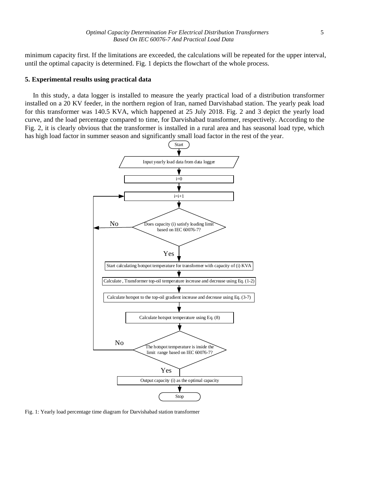minimum capacity first. If the limitations are exceeded, the calculations will be repeated for the upper interval, until the optimal capacity is determined. Fig. 1 depicts the flowchart of the whole process.

#### **5. Experimental results using practical data**

In this study, a data logger is installed to measure the yearly practical load of a distribution transformer installed on a 20 KV feeder, in the northern region of Iran, named Darvishabad station. The yearly peak load for this transformer was 140.5 KVA, which happened at 25 July 2018. Fig. 2 and 3 depict the yearly load curve, and the load percentage compared to time, for Darvishabad transformer, respectively. According to the Fig. 2, it is clearly obvious that the transformer is installed in a rural area and has seasonal load type, which has high load factor in summer season and significantly small load factor in the rest of the year.



Fig. 1: Yearly load percentage time diagram for Darvishabad station transformer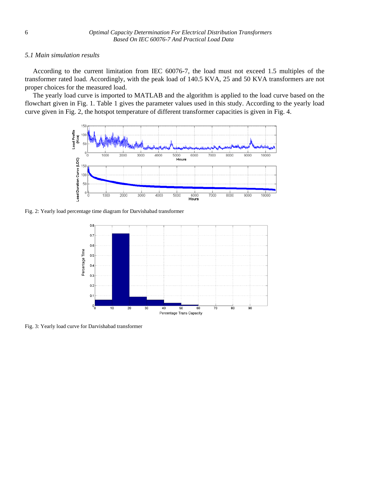## *5.1 Main simulation results*

According to the current limitation from IEC 60076-7, the load must not exceed 1.5 multiples of the transformer rated load. Accordingly, with the peak load of 140.5 KVA, 25 and 50 KVA transformers are not proper choices for the measured load.

The yearly load curve is imported to MATLAB and the algorithm is applied to the load curve based on the flowchart given in Fig. 1. Table 1 gives the parameter values used in this study. According to the yearly load curve given in Fig. 2, the hotspot temperature of different transformer capacities is given in Fig. 4.



Fig. 2: Yearly load percentage time diagram for Darvishabad transformer



Fig. 3: Yearly load curve for Darvishabad transformer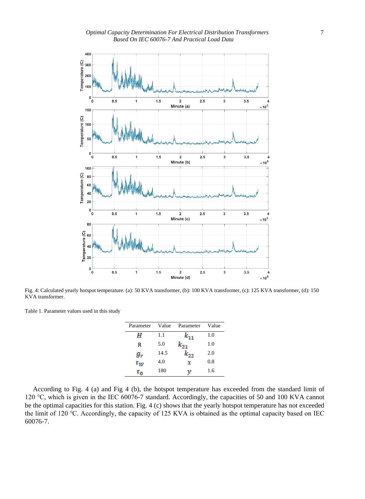

Fig. 4: Calculated yearly hotspot temperature. (a): 50 KVA transformer, (b): 100 KVA transformer, (c): 125 KVA transformer, (d): 150 KVA transformer.

Table 1. Parameter values used in this study

| Parameter      | Value | Parameter | Value |
|----------------|-------|-----------|-------|
| н              | 1.1   |           | 1.0   |
| R              | 5.0   | $k_{21}$  | 1.0   |
| $g_{r}$        | 14.5  | $k_{22}$  | 2.0   |
| $\tau_{w}$     | 4.0   | x         | 0.8   |
| $\tau_{\sf n}$ | 180   | ν         | 1.6   |
|                |       |           |       |

According to Fig. 4 (a) and Fig 4 (b), the hotspot temperature has exceeded from the standard limit of 120 ℃, which is given in the IEC 60076-7 standard. Accordingly, the capacities of 50 and 100 KVA cannot be the optimal capacities for this station. Fig. 4 (c) shows that the yearly hotspot temperature has not exceeded the limit of 120 ℃. Accordingly, the capacity of 125 KVA is obtained as the optimal capacity based on IEC 60076-7.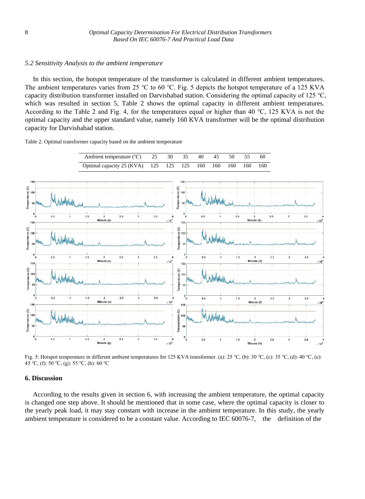## *5.2 Sensitivity Analysis to the ambient temperature*

In this section, the hotspot temperature of the transformer is calculated in different ambient temperatures. The ambient temperatures varies from 25 ℃ to 60 ℃. Fig. 5 depicts the hotspot temperature of a 125 KVA capacity distribution transformer installed on Darvishabad station. Considering the optimal capacity of 125 ℃, which was resulted in section 5, Table 2 shows the optimal capacity in different ambient temperatures. According to the Table 2 and Fig. 4, for the temperatures equal or higher than 40 ℃, 125 KVA is not the optimal capacity and the upper standard value, namely 160 KVA transformer will be the optimal distribution capacity for Darvishabad station.

Table 2. Optimal transformer capacity based on the ambient temperature



Fig. 5: Hotspot temperature in different ambient temperatures for 125 KVA transformer. (a): 25 ℃, (b): 30 ℃, (c): 35 ℃, (d): 40 ℃, (e): 45 ℃, (f): 50 ℃, (g): 55 ℃, (h): 60 ℃

## **6. Discussion**

According to the results given in section 6, with increasing the ambient temperature, the optimal capacity is changed one step above. It should be mentioned that in some case, where the optimal capacity is closer to the yearly peak load, it may stay constant with increase in the ambient temperature. In this study, the yearly ambient temperature is considered to be a constant value. According to IEC 60076-7, the definition of the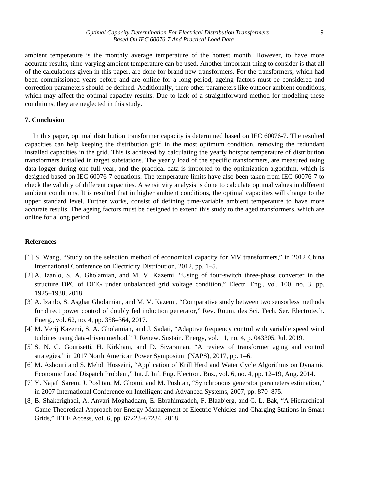ambient temperature is the monthly average temperature of the hottest month. However, to have more accurate results, time-varying ambient temperature can be used. Another important thing to consider is that all of the calculations given in this paper, are done for brand new transformers. For the transformers, which had been commissioned years before and are online for a long period, ageing factors must be considered and correction parameters should be defined. Additionally, there other parameters like outdoor ambient conditions, which may affect the optimal capacity results. Due to lack of a straightforward method for modeling these conditions, they are neglected in this study.

## **7. Conclusion**

In this paper, optimal distribution transformer capacity is determined based on IEC 60076-7. The resulted capacities can help keeping the distribution grid in the most optimum condition, removing the redundant installed capacities in the grid. This is achieved by calculating the yearly hotspot temperature of distribution transformers installed in target substations. The yearly load of the specific transformers, are measured using data logger during one full year, and the practical data is imported to the optimization algorithm, which is designed based on IEC 60076-7 equations. The temperature limits have also been taken from IEC 60076-7 to check the validity of different capacities. A sensitivity analysis is done to calculate optimal values in different ambient conditions, It is resulted that in higher ambient conditions, the optimal capacities will change to the upper standard level. Further works, consist of defining time-variable ambient temperature to have more accurate results. The ageing factors must be designed to extend this study to the aged transformers, which are online for a long period.

#### **References**

- [1] S. Wang, "Study on the selection method of economical capacity for MV transformers," in 2012 China International Conference on Electricity Distribution, 2012, pp. 1–5.
- [2] A. Izanlo, S. A. Gholamian, and M. V. Kazemi, "Using of four-switch three-phase converter in the structure DPC of DFIG under unbalanced grid voltage condition," Electr. Eng., vol. 100, no. 3, pp. 1925–1938, 2018.
- [3] A. Izanlo, S. Asghar Gholamian, and M. V. Kazemi, "Comparative study between two sensorless methods for direct power control of doubly fed induction generator," Rev. Roum. des Sci. Tech. Ser. Electrotech. Energ., vol. 62, no. 4, pp. 358–364, 2017.
- [4] M. Verij Kazemi, S. A. Gholamian, and J. Sadati, "Adaptive frequency control with variable speed wind turbines using data-driven method," J. Renew. Sustain. Energy, vol. 11, no. 4, p. 043305, Jul. 2019.
- [5] S. N. G. Gourisetti, H. Kirkham, and D. Sivaraman, "A review of transformer aging and control strategies," in 2017 North American Power Symposium (NAPS), 2017, pp. 1–6.
- [6] M. Ashouri and S. Mehdi Hosseini, "Application of Krill Herd and Water Cycle Algorithms on Dynamic Economic Load Dispatch Problem," Int. J. Inf. Eng. Electron. Bus., vol. 6, no. 4, pp. 12–19, Aug. 2014.
- [7] Y. Najafi Sarem, J. Poshtan, M. Ghomi, and M. Poshtan, "Synchronous generator parameters estimation," in 2007 International Conference on Intelligent and Advanced Systems, 2007, pp. 870–875.
- [8] B. Shakerighadi, A. Anvari-Moghaddam, E. Ebrahimzadeh, F. Blaabjerg, and C. L. Bak, "A Hierarchical Game Theoretical Approach for Energy Management of Electric Vehicles and Charging Stations in Smart Grids," IEEE Access, vol. 6, pp. 67223–67234, 2018.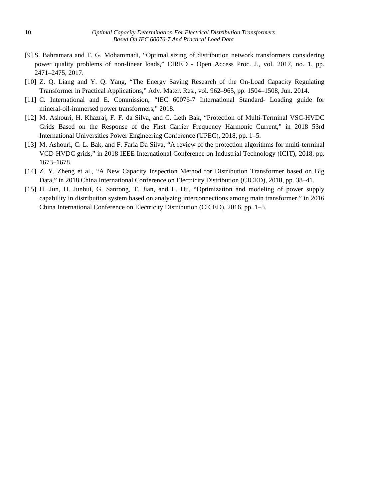- [9] S. Bahramara and F. G. Mohammadi, "Optimal sizing of distribution network transformers considering power quality problems of non-linear loads," CIRED - Open Access Proc. J., vol. 2017, no. 1, pp. 2471–2475, 2017.
- [10] Z. Q. Liang and Y. Q. Yang, "The Energy Saving Research of the On-Load Capacity Regulating Transformer in Practical Applications," Adv. Mater. Res., vol. 962–965, pp. 1504–1508, Jun. 2014.
- [11] C. International and E. Commission, "IEC 60076-7 International Standard- Loading guide for mineral-oil-immersed power transformers," 2018.
- [12] M. Ashouri, H. Khazraj, F. F. da Silva, and C. Leth Bak, "Protection of Multi-Terminal VSC-HVDC Grids Based on the Response of the First Carrier Frequency Harmonic Current," in 2018 53rd International Universities Power Engineering Conference (UPEC), 2018, pp. 1–5.
- [13] M. Ashouri, C. L. Bak, and F. Faria Da Silva, "A review of the protection algorithms for multi-terminal VCD-HVDC grids," in 2018 IEEE International Conference on Industrial Technology (ICIT), 2018, pp. 1673–1678.
- [14] Z. Y. Zheng et al., "A New Capacity Inspection Method for Distribution Transformer based on Big Data," in 2018 China International Conference on Electricity Distribution (CICED), 2018, pp. 38–41.
- [15] H. Jun, H. Junhui, G. Sanrong, T. Jian, and L. Hu, "Optimization and modeling of power supply capability in distribution system based on analyzing interconnections among main transformer," in 2016 China International Conference on Electricity Distribution (CICED), 2016, pp. 1–5.